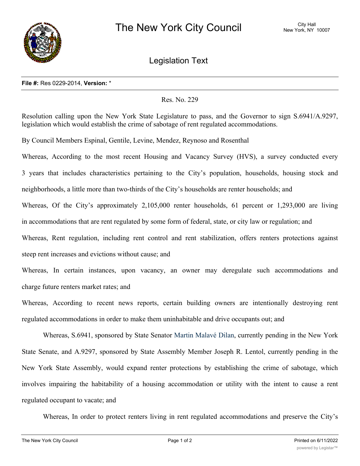

Legislation Text

## **File #:** Res 0229-2014, **Version:** \*

## Res. No. 229

Resolution calling upon the New York State Legislature to pass, and the Governor to sign S.6941/A.9297, legislation which would establish the crime of sabotage of rent regulated accommodations.

By Council Members Espinal, Gentile, Levine, Mendez, Reynoso and Rosenthal

Whereas, According to the most recent Housing and Vacancy Survey (HVS), a survey conducted every 3 years that includes characteristics pertaining to the City's population, households, housing stock and neighborhoods, a little more than two-thirds of the City's households are renter households; and Whereas, Of the City's approximately 2,105,000 renter households, 61 percent or 1,293,000 are living in accommodations that are rent regulated by some form of federal, state, or city law or regulation; and Whereas, Rent regulation, including rent control and rent stabilization, offers renters protections against

steep rent increases and evictions without cause; and

Whereas, In certain instances, upon vacancy, an owner may deregulate such accommodations and charge future renters market rates; and

Whereas, According to recent news reports, certain building owners are intentionally destroying rent regulated accommodations in order to make them uninhabitable and drive occupants out; and

Whereas, S.6941, sponsored by State Senator Martin Malavé Dilan, currently pending in the New York State Senate, and A.9297, sponsored by State Assembly Member Joseph R. Lentol, currently pending in the New York State Assembly, would expand renter protections by establishing the crime of sabotage, which involves impairing the habitability of a housing accommodation or utility with the intent to cause a rent regulated occupant to vacate; and

Whereas, In order to protect renters living in rent regulated accommodations and preserve the City's